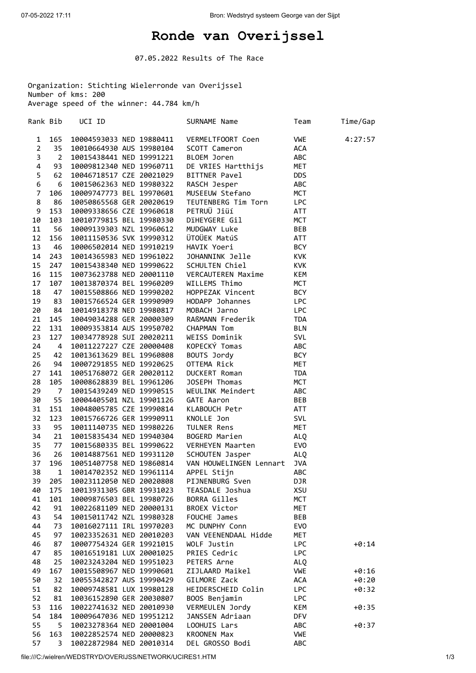## **Ronde van Overijssel**

07.05.2022 Results of The Race

Organization: Stichting Wielerronde van Overijssel Number of kms: 200 Average speed of the winner: 44.784 km/h

Rank Bib UCI ID **SURNAME Name** Team Time/Gap 1 165 10004593033 NED 19880411 VERMELTFOORT Coen VWE 4:27:57 2 35 10010664930 AUS 19980104 SCOTT Cameron ACA 3 2 10015438441 NED 19991221 BLOEM Joren ABC 4 93 10009812340 NED 19960711 DE VRIES Hartthijs MET 5 62 10046718517 CZE 20021029 BITTNER Pavel DDS 6 6 10015062363 NED 19980322 RASCH Jesper ABC 7 106 10009747773 BEL 19970601 MUSEEUW Stefano MCT 8 86 10050865568 GER 20020619 TEUTENBERG Tim Torn LPC 9 153 10009338656 CZE 19960618 PETRUÜ Jiüí ATT 10 103 10010779815 BEL 19980330 DïHEYGERE Gil MCT 11 56 10009139303 NZL 19960612 MUDGWAY Luke BEB 12 156 10011150536 SVK 19990312 ÜTOÜEK MatúS ATT 13 46 10006502014 NED 19910219 HAVIK Yoeri BCY 14 243 10014365983 NED 19961022 JOHANNINK Jelle KVK 15 247 10015438340 NED 19990622 SCHULTEN Chiel KVK 16 115 10073623788 NED 20001110 VERCAUTEREN Maxime KEM 17 107 10013870374 BEL 19960209 WILLEMS Thimo MCT 18 47 10015508866 NED 19990202 HOPPEZAK Vincent BCY 19 83 10015766524 GER 19990909 HODAPP Johannes LPC 20 84 10014918378 NED 19980817 MOBACH Jarno LPC 21 145 10049034288 GER 20000309 RAßMANN Frederik TDA 22 131 10009353814 AUS 19950702 CHAPMAN Tom BLN 23 127 10034778928 SUI 20020211 WEISS Dominik SVL 24 4 10011227227 CZE 20000408 KOPECKÝ Tomas ABC 25 42 10013613629 BEL 19960808 BOUTS Jordy BCY 26 94 10007291855 NED 19920625 OTTEMA Rick MET 27 141 10051768072 GER 20020112 DUCKERT Roman TDA 28 105 10008628839 BEL 19961206 JOSEPH Thomas MCT<br>29 7 10015439249 NED 19990515 WEULINK Meindert ABC 29 7 10015439249 NED 19990515 WEULINK Meindert ABC 55 10004405501 NZL 19901126 31 151 10048005785 CZE 19990814 KLABOUCH Petr ATT<br>32 123 10015766726 GER 19990911 KNOLLE Jon SVL 32 123 10015766726 GER 19990911<br>33 95 10011140735 NED 19980226 33 95 10011140735 NED 19980226 TULNER Rens MET 34 21 10015835434 NED 19940304 BOGERD Marien ALQ 35 77 10015680335 BEL 19990622 VERHEYEN Maarten EVO 36 26 10014887561 NED 19931120 SCHOUTEN Jasper ALQ 37 196 10051407758 NED 19860814 VAN HOUWELINGEN Lennart JVA 38 1 10014702352 NED 19961114 APPEL Stijn ABC 39 205 10023112050 NED 20020808 PIJNENBURG Sven DJR 40 175 10013931305 GBR 19931023 TEASDALE Joshua XSU 101 10009876503 BEL 19980726 BORRA Gilles MCT<br>11 10022681109 NED 20000131 BROEX Victor MET 42 91 10022681109 NED 20000131 BROEX Victor MET 43 54 10015011742 NZL 19980328 FOUCHE James BEB 44 73 10016027111 IRL 19970203 MC DUNPHY Conn EVO 45 97 10023352631 NED 20010203 VAN VEENENDAAL Hidde MET 46 87 10007754324 GER 19921015 WOLF Justin LPC +0:14 47 85 10016519181 LUX 20001025 PRIES Cedric LPC 48 25 10023243204 NED 19951023 PETERS Arne ALQ 49 167 10015508967 NED 19990601 ZIJLAARD Maikel VWE +0:16 50 32 10055342827 AUS 19990429 GILMORE Zack +0:20<br>51 82 10009748581 LUX 19980128 HEIDERSCHEID Colin LPC +0:32 51 82 10009748581 LUX 19980128 HEIDERSCHEID Colin LPC +0:32 52 81 10036152890 GER 20030807 BOOS Benjamin LPC 53 116 10022741632 NED 20010930 VERMEULEN Jordy KEM KEM +0:35 54 184 10009647036 NED 19951212 JANSSEN Adriaan DFV 55 5 10023278364 NED 20001004 LOOHUIS Lars ABC +0:37 56 163 10022852574 NED 20000823 KROONEN Max VWE 57 3 10022872984 NED 20010314 DEL GROSSO Bodi ABC

file:///C:/wielren/WEDSTRYD/OVERIJSS/NETWORK/UCIRES1.HTM 1/3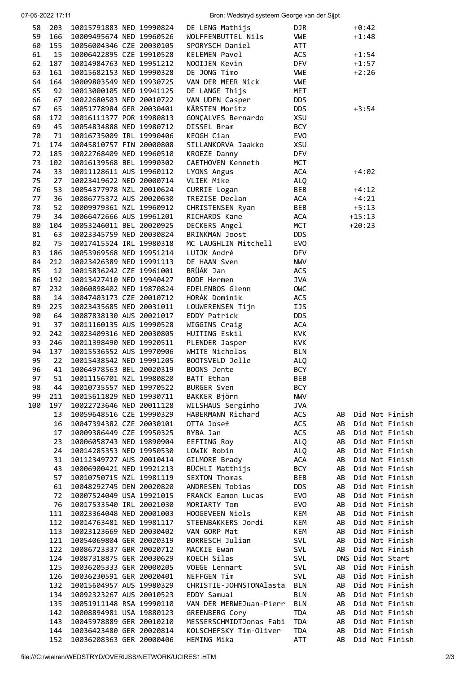| 07-05-2022 17:11 |                 |                                                      | Bron: Wedstryd systeem George van der Sijpt |                          |                                              |  |  |  |
|------------------|-----------------|------------------------------------------------------|---------------------------------------------|--------------------------|----------------------------------------------|--|--|--|
| 58               | 203             | 10015791883 NED 19990824                             | DE LENG Mathijs                             | DJR.                     | $+0:42$                                      |  |  |  |
| 59               | 166             | 10009495674 NED 19960526                             | WOLFFENBUTTEL Nils                          | VWE                      | $+1:48$                                      |  |  |  |
| 60               | 155             | 10056004346 CZE 20030105                             | SPORYSCH Daniel                             | ATT                      |                                              |  |  |  |
| 61               | 15              | 10006422895 CZE 19910528                             | KELEMEN Pavel                               | ACS                      | $+1:54$                                      |  |  |  |
| 62               | 187             | 10014984763 NED 19951212                             | NOOIJEN Kevin                               | <b>DFV</b>               | $+1:57$                                      |  |  |  |
| 63               | 161             | 10015682153 NED 19990328                             | DE JONG Timo                                | <b>VWE</b>               | $+2:26$                                      |  |  |  |
| 64               | 164             | 10009803549 NED 19930725                             | VAN DER MEER Nick                           | <b>VWE</b>               |                                              |  |  |  |
| 65               | 92              | 10013000105 NED 19941125                             | DE LANGE Thijs                              | <b>MET</b>               |                                              |  |  |  |
| 66               | 67              | 10022680503 NED 20010722                             | VAN UDEN Casper                             | <b>DDS</b>               |                                              |  |  |  |
| 67               | 65              | 10051778984 GER 20030401                             | KÄRSTEN Moritz                              | <b>DDS</b>               | $+3:54$                                      |  |  |  |
| 68               | 172             | 10016111377 POR 19980813                             | GONÇALVES Bernardo                          | XSU                      |                                              |  |  |  |
| 69               | 45              | 10054834888 NED 19980712                             | DISSEL Bram                                 | <b>BCY</b>               |                                              |  |  |  |
| 70               | 71              | 10016735009 IRL 19990406                             | KEOGH Cian                                  | <b>EVO</b>               |                                              |  |  |  |
| 71               | 174             | 10045810757 FIN 20000808                             | SILLANKORVA Jaakko                          | XSU                      |                                              |  |  |  |
| 72               | 185             | 10022768409 NED 19960510                             | KROEZE Danny                                | <b>DFV</b>               |                                              |  |  |  |
| 73               | 102             | 10016139568 BEL 19990302                             | CAETHOVEN Kenneth                           | <b>MCT</b>               |                                              |  |  |  |
| 74               | 33              | 10011128611 AUS 19960112                             | LYONS Angus                                 | ACA                      | $+4:02$                                      |  |  |  |
| 75               | 27              | 10023419622 NED 20000714                             | VLIEK Mike                                  | ALQ                      |                                              |  |  |  |
| 76<br>77         | 53              | 10054377978 NZL 20010624<br>10086775372 AUS 20020630 | CURRIE Logan<br>TREZISE Declan              | <b>BEB</b><br><b>ACA</b> | $+4:12$                                      |  |  |  |
| 78               | 36<br>52        | 10009979361 NZL 19960912                             | CHRISTENSEN Ryan                            | <b>BEB</b>               | $+4:21$<br>$+5:13$                           |  |  |  |
| 79               | 34              | 10066472666 AUS 19961201                             | RICHARDS Kane                               | <b>ACA</b>               | $+15:13$                                     |  |  |  |
| 80               | 104             | 10053246011 BEL 20020925                             | DECKERS Angel                               | <b>MCT</b>               | $+20:23$                                     |  |  |  |
| 81               | 63              | 10023345759 NED 20030824                             | BRINKMAN Joost                              | <b>DDS</b>               |                                              |  |  |  |
| 82               | 75              | 10017415524 IRL 19980318                             | MC LAUGHLIN Mitchell                        | EVO                      |                                              |  |  |  |
| 83               | 186             | 10053969568 NED 19951214                             | LUIJK André                                 | <b>DFV</b>               |                                              |  |  |  |
| 84               | 212             | 10023426389 NED 19991113                             | DE HAAN Sven                                | <b>NWV</b>               |                                              |  |  |  |
| 85               | 12 <sub>2</sub> | 10015836242 CZE 19961001                             | BRÜÁK Jan                                   | ACS                      |                                              |  |  |  |
| 86               | 192             | 10013427410 NED 19940427                             | BODE Hermen                                 | <b>JVA</b>               |                                              |  |  |  |
| 87               | 232             | 10060898402 NED 19870824                             | EDELENBOS Glenn                             | OWC                      |                                              |  |  |  |
| 88               | 14              | 10047403173 CZE 20010712                             | HORÁK Dominik                               | ACS                      |                                              |  |  |  |
| 89               | 225             | 10023435685 NED 20031011                             | LOUWERENSEN Tijn                            | IJS                      |                                              |  |  |  |
| 90               | 64              | 10087838130 AUS 20021017                             | EDDY Patrick                                | <b>DDS</b>               |                                              |  |  |  |
| 91               | 37              | 10011160135 AUS 19990528                             | WIGGINS Craig                               | <b>ACA</b>               |                                              |  |  |  |
| 92               | 242             | 10023409316 NED 20030805                             | HUITING Eskil                               | <b>KVK</b>               |                                              |  |  |  |
| 93               | 246             | 10011398490 NED 19920511                             | PLENDER Jasper                              | KVK                      |                                              |  |  |  |
| 94               | 137             | 10015536552 AUS 19970906                             | WHITE Nicholas                              | <b>BLN</b>               |                                              |  |  |  |
| 95               | 22              | 10015438542 NED 19991205                             | BOOTSVELD Jelle                             | <b>ALQ</b>               |                                              |  |  |  |
|                  |                 | 96 41 10064978563 BEL 20020319                       | BOONS Jente                                 | <b>BCY</b>               |                                              |  |  |  |
| 97               | 51              | 10011156701 NZL 19980820                             | BATT Ethan                                  | BEB                      |                                              |  |  |  |
| 98               | 44              | 10010735557 NED 19970522                             | <b>BURGER Sven</b>                          | <b>BCY</b>               |                                              |  |  |  |
| 99               | 211             | 10015611829 NED 19930711                             | BAKKER Björn                                | <b>NWV</b>               |                                              |  |  |  |
| 100              | 197             | 10022723646 NED 20011128                             | WILSHAUS Serginho                           | <b>JVA</b>               |                                              |  |  |  |
|                  | 13              | 10059648516 CZE 19990329                             | HABERMANN Richard                           | ACS                      | Did Not Finish<br>AB                         |  |  |  |
|                  | 16              | 10047394382 CZE 20030101                             | OTTA Josef                                  | ACS                      | Did Not Finish<br>AB                         |  |  |  |
|                  | 17<br>23        | 10009386449 CZE 19950325<br>10006058743 NED 19890904 | RYBA Jan                                    | ACS                      | Did Not Finish<br>AB<br>Did Not Finish<br>AB |  |  |  |
|                  | 24              | 10014285353 NED 19950530                             | EEFTING Roy<br>LOWIK Robin                  | ALQ<br>ALQ               | Did Not Finish<br>AB                         |  |  |  |
|                  | 31              | 10112349727 AUS 20010414                             | GILMORE Brady                               | ACA                      | Did Not Finish<br>AB                         |  |  |  |
|                  | 43              | 10006900421 NED 19921213                             | BÜCHLI Matthijs                             | <b>BCY</b>               | Did Not Finish<br>AB                         |  |  |  |
|                  | 57              | 10010750715 NZL 19981119                             | <b>SEXTON Thomas</b>                        | <b>BEB</b>               | Did Not Finish<br>AB                         |  |  |  |
|                  | 61              | 10048292745 DEN 20020820                             | ANDRESEN Tobias                             | <b>DDS</b>               | Did Not Finish<br>AB                         |  |  |  |
|                  | 72              | 10007524049 USA 19921015                             | <b>FRANCK Eamon Lucas</b>                   | <b>EVO</b>               | Did Not Finish<br>AB                         |  |  |  |
|                  | 76              | 10017533540 IRL 20021030                             | MORIARTY Tom                                | <b>EVO</b>               | Did Not Finish<br>AB                         |  |  |  |
|                  | 111             | 10023364048 NED 20001003                             | HOOGEVEEN Niels                             | KEM                      | Did Not Finish<br>AB                         |  |  |  |
|                  | 112             | 10014763481 NED 19981117                             | STEENBAKKERS Jordi                          | KEM                      | Did Not Finish<br>AB                         |  |  |  |
|                  | 113             | 10023123669 NED 20030402                             | VAN GORP Mat                                | KEM                      | Did Not Finish<br>AB                         |  |  |  |
|                  | 121             | 10054069804 GER 20020319                             | BORRESCH Julian                             | SVL                      | AB<br>Did Not Finish                         |  |  |  |
|                  | 122             | 10086723337 GBR 20020712                             | MACKIE Ewan                                 | SVL                      | Did Not Finish<br>AB                         |  |  |  |
|                  | 124             | 10087318875 GER 20030629                             | KOECH Silas                                 | SVL                      | DNS Did Not Start                            |  |  |  |
|                  | 125             | 10036205333 GER 20000205                             | VOEGE Lennart                               | SVL                      | Did Not Finish<br>AB                         |  |  |  |
|                  | 126             | 10036230591 GER 20020401                             | NEFFGEN Tim                                 | SVL                      | Did Not Finish<br>AB                         |  |  |  |
|                  | 132             | 10015604957 AUS 19980329                             | CHRISTIE-JOHNSTONAlasta                     | <b>BLN</b>               | Did Not Finish<br>AB                         |  |  |  |
|                  | 134             | 10092323267 AUS 20010523                             | EDDY Samual                                 | <b>BLN</b>               | Did Not Finish<br>AB                         |  |  |  |
|                  | 135             | 10051911148 RSA 19990110                             | VAN DER MERWEJuan-Pierr                     | <b>BLN</b>               | Did Not Finish<br>AB                         |  |  |  |
|                  | 142             | 10008894981 USA 19880123                             | GREENBERG Cory                              | <b>TDA</b>               | Did Not Finish<br>AB                         |  |  |  |
|                  | 143             | 10045978889 GER 20010210                             | MESSERSCHMIDTJonas Fabi                     | <b>TDA</b>               | Did Not Finish<br>AB                         |  |  |  |
|                  | 144             | 10036423480 GER 20020814                             | KOLSCHEFSKY Tim-Oliver                      | <b>TDA</b>               | Did Not Finish<br>AB                         |  |  |  |
|                  | 152             | 10036208363 GER 20000406                             | HEMING Mika                                 | ATT                      | Did Not Finish<br>AB                         |  |  |  |